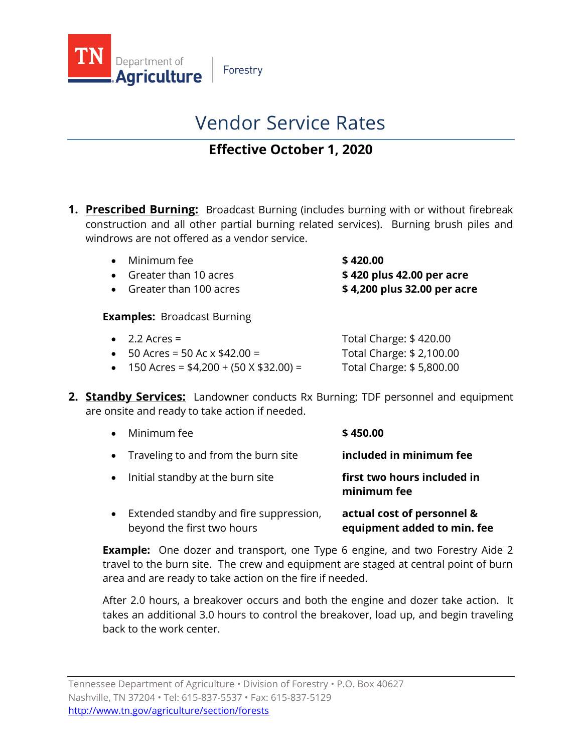

Forestry

# Vendor Service Rates

# **Effective October 1, 2020**

**1. Prescribed Burning:** Broadcast Burning (includes burning with or without firebreak construction and all other partial burning related services). Burning brush piles and windrows are not offered as a vendor service.

| $\bullet$ Minimum fee   | \$420.00                   |
|-------------------------|----------------------------|
| • Greater than 10 acres | \$ 420 plus 42.00 per acre |

• Greater than 100 acres **\$ 4,200 plus 32.00 per acre**

**Examples:** Broadcast Burning

| $\bullet$ 2.2 Acres =                         | Total Charge: \$420.00   |
|-----------------------------------------------|--------------------------|
| • $50$ Acres = 50 Ac $\times$ \$42.00 =       | Total Charge: \$2,100.00 |
| • 150 Acres = $$4,200 + (50 \times $32.00) =$ | Total Charge: \$5,800.00 |

**2. Standby Services:** Landowner conducts Rx Burning; TDF personnel and equipment are onsite and ready to take action if needed.

|           | Minimum fee                            | \$450.00                                   |
|-----------|----------------------------------------|--------------------------------------------|
|           | • Traveling to and from the burn site  | included in minimum fee                    |
| $\bullet$ | Initial standby at the burn site       | first two hours included in<br>minimum fee |
|           | Extended standby and fire suppression, | actual cost of personnel &                 |

beyond the first two hours **equipment added to min. fee Example:** One dozer and transport, one Type 6 engine, and two Forestry Aide 2

travel to the burn site. The crew and equipment are staged at central point of burn area and are ready to take action on the fire if needed.

After 2.0 hours, a breakover occurs and both the engine and dozer take action. It takes an additional 3.0 hours to control the breakover, load up, and begin traveling back to the work center.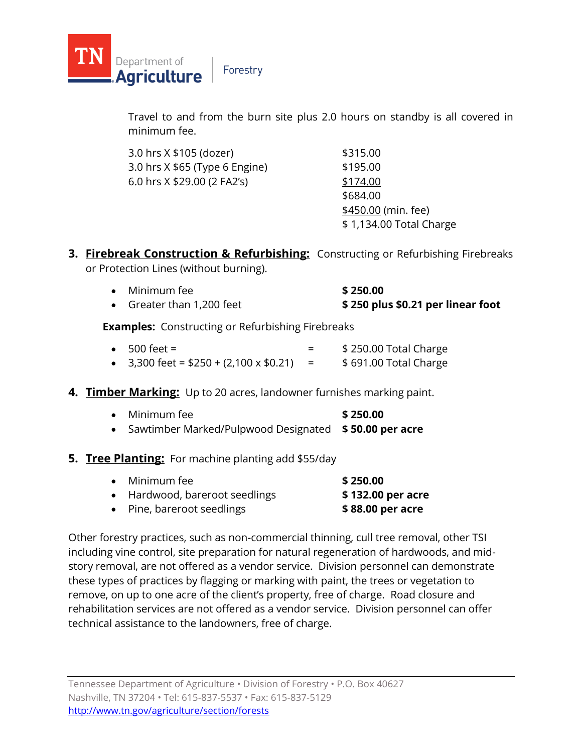

Department of

**Agriculture** 

Travel to and from the burn site plus 2.0 hours on standby is all covered in minimum fee.

| 3.0 hrs X \$105 (dozer)        | \$315.00                |
|--------------------------------|-------------------------|
| 3.0 hrs X \$65 (Type 6 Engine) | \$195.00                |
| 6.0 hrs X \$29.00 (2 FA2's)    | \$174.00                |
|                                | \$684.00                |
|                                | \$450.00 (min. fee)     |
|                                | \$1,134.00 Total Charge |

**3. Firebreak Construction & Refurbishing:** Constructing or Refurbishing Firebreaks or Protection Lines (without burning).

| Minimum fee | \$250.00                                                             |
|-------------|----------------------------------------------------------------------|
|             | $\triangle$ are the $\triangle$ as a set of the set of $\triangle$ . |

• Greater than 1,200 feet **\$ 250 plus \$0.21 per linear foot**

**Examples:** Constructing or Refurbishing Firebreaks

| $\bullet$ 500 feet =                           | \$250.00 Total Charge |
|------------------------------------------------|-----------------------|
| • 3,300 feet = $$250 + (2,100 \times $0.21) =$ | \$691.00 Total Charge |

#### **4. Timber Marking:** Up to 20 acres, landowner furnishes marking paint.

| $\bullet$ Minimum fee                                   | \$250.00 |
|---------------------------------------------------------|----------|
| • Sawtimber Marked/Pulpwood Designated \$50.00 per acre |          |

#### **5. Tree Planting:** For machine planting add \$55/day

| $\bullet$ Minimum fee          | \$250.00          |
|--------------------------------|-------------------|
| • Hardwood, bareroot seedlings | \$132.00 per acre |
| • Pine, bareroot seedlings     | \$88.00 per acre  |

Other forestry practices, such as non-commercial thinning, cull tree removal, other TSI including vine control, site preparation for natural regeneration of hardwoods, and midstory removal, are not offered as a vendor service. Division personnel can demonstrate these types of practices by flagging or marking with paint, the trees or vegetation to remove, on up to one acre of the client's property, free of charge. Road closure and rehabilitation services are not offered as a vendor service. Division personnel can offer technical assistance to the landowners, free of charge.